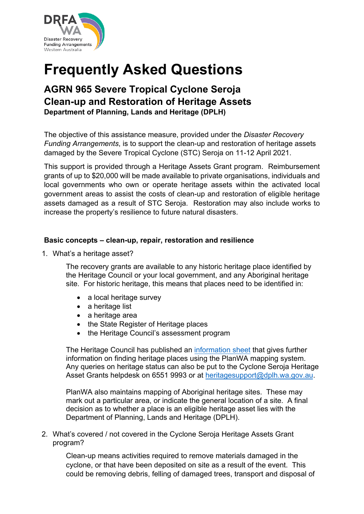

# **Frequently Asked Questions**

# **AGRN 965 Severe Tropical Cyclone Seroja Clean-up and Restoration of Heritage Assets Department of Planning, Lands and Heritage (DPLH)**

The objective of this assistance measure, provided under the *Disaster Recovery Funding Arrangements*, is to support the clean-up and restoration of heritage assets damaged by the Severe Tropical Cyclone (STC) Seroja on 11-12 April 2021.

This support is provided through a Heritage Assets Grant program. Reimbursement grants of up to \$20,000 will be made available to private organisations, individuals and local governments who own or operate heritage assets within the activated local government areas to assist the costs of clean-up and restoration of eligible heritage assets damaged as a result of STC Seroja. Restoration may also include works to increase the property's resilience to future natural disasters.

#### **Basic concepts – clean-up, repair, restoration and resilience**

1. What's a heritage asset?

The recovery grants are available to any historic heritage place identified by the Heritage Council or your local government, and any Aboriginal heritage site. For historic heritage, this means that places need to be identified in:

- a local heritage survey
- a heritage list
- a heritage area
- the State Register of Heritage places
- the Heritage Council's assessment program

The Heritage Council has published an [information sheet](https://www.wa.gov.au/system/files/2021-07/HER-FAQ-Repairing-Heritage-Places_0.pdf) that gives further information on finding heritage places using the PlanWA mapping system. Any queries on heritage status can also be put to the Cyclone Seroja Heritage Asset Grants helpdesk on 6551 9993 or at [heritagesupport@dplh.wa.gov.au.](mailto:heritagesupport@dplh.wa.gov.au)

PlanWA also maintains mapping of Aboriginal heritage sites. These may mark out a particular area, or indicate the general location of a site. A final decision as to whether a place is an eligible heritage asset lies with the Department of Planning, Lands and Heritage (DPLH).

2. What's covered / not covered in the Cyclone Seroja Heritage Assets Grant program?

Clean-up means activities required to remove materials damaged in the cyclone, or that have been deposited on site as a result of the event. This could be removing debris, felling of damaged trees, transport and disposal of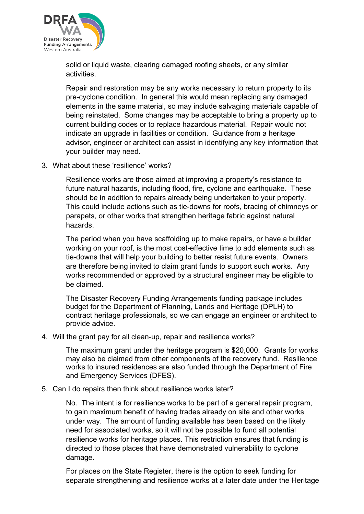

solid or liquid waste, clearing damaged roofing sheets, or any similar activities.

Repair and restoration may be any works necessary to return property to its pre-cyclone condition. In general this would mean replacing any damaged elements in the same material, so may include salvaging materials capable of being reinstated. Some changes may be acceptable to bring a property up to current building codes or to replace hazardous material. Repair would not indicate an upgrade in facilities or condition. Guidance from a heritage advisor, engineer or architect can assist in identifying any key information that your builder may need.

3. What about these 'resilience' works?

Resilience works are those aimed at improving a property's resistance to future natural hazards, including flood, fire, cyclone and earthquake. These should be in addition to repairs already being undertaken to your property. This could include actions such as tie-downs for roofs, bracing of chimneys or parapets, or other works that strengthen heritage fabric against natural hazards.

The period when you have scaffolding up to make repairs, or have a builder working on your roof, is the most cost-effective time to add elements such as tie-downs that will help your building to better resist future events. Owners are therefore being invited to claim grant funds to support such works. Any works recommended or approved by a structural engineer may be eligible to be claimed.

The Disaster Recovery Funding Arrangements funding package includes budget for the Department of Planning, Lands and Heritage (DPLH) to contract heritage professionals, so we can engage an engineer or architect to provide advice.

4. Will the grant pay for all clean-up, repair and resilience works?

The maximum grant under the heritage program is \$20,000. Grants for works may also be claimed from other components of the recovery fund. Resilience works to insured residences are also funded through the Department of Fire and Emergency Services (DFES).

5. Can I do repairs then think about resilience works later?

No. The intent is for resilience works to be part of a general repair program, to gain maximum benefit of having trades already on site and other works under way. The amount of funding available has been based on the likely need for associated works, so it will not be possible to fund all potential resilience works for heritage places. This restriction ensures that funding is directed to those places that have demonstrated vulnerability to cyclone damage.

For places on the State Register, there is the option to seek funding for separate strengthening and resilience works at a later date under the Heritage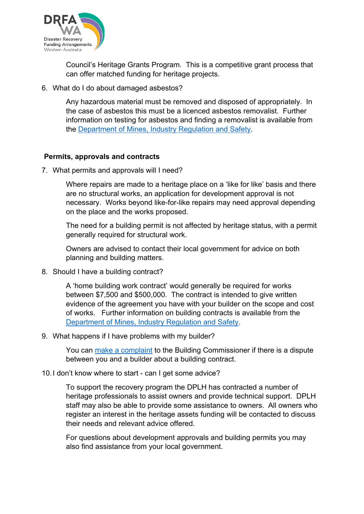

Council's Heritage Grants Program. This is a competitive grant process that can offer matched funding for heritage projects.

6. What do I do about damaged asbestos?

Any hazardous material must be removed and disposed of appropriately. In the case of asbestos this must be a licenced asbestos removalist. Further information on testing for asbestos and finding a removalist is available from the [Department of Mines, Industry Regulation and Safety.](https://www.commerce.wa.gov.au/worksafe/finding-and-selecting-asbestos-licence-holder)

#### **Permits, approvals and contracts**

7. What permits and approvals will I need?

Where repairs are made to a heritage place on a 'like for like' basis and there are no structural works, an application for development approval is not necessary. Works beyond like-for-like repairs may need approval depending on the place and the works proposed.

The need for a building permit is not affected by heritage status, with a permit generally required for structural work.

Owners are advised to contact their local government for advice on both planning and building matters.

8. Should I have a building contract?

A 'home building work contract' would generally be required for works between \$7,500 and \$500,000. The contract is intended to give written evidence of the agreement you have with your builder on the scope and cost of works. Further information on building contracts is available from the [Department of Mines, Industry Regulation and Safety.](https://www.commerce.wa.gov.au/building-commission/home-building-contracts)

9. What happens if I have problems with my builder?

You can [make a complaint](https://www.commerce.wa.gov.au/building-and-energy/building-service-and-home-building-work-contract-complaints) to the Building Commissioner if there is a dispute between you and a builder about a building contract.

10.I don't know where to start - can I get some advice?

To support the recovery program the DPLH has contracted a number of heritage professionals to assist owners and provide technical support. DPLH staff may also be able to provide some assistance to owners. All owners who register an interest in the heritage assets funding will be contacted to discuss their needs and relevant advice offered.

For questions about development approvals and building permits you may also find assistance from your local government.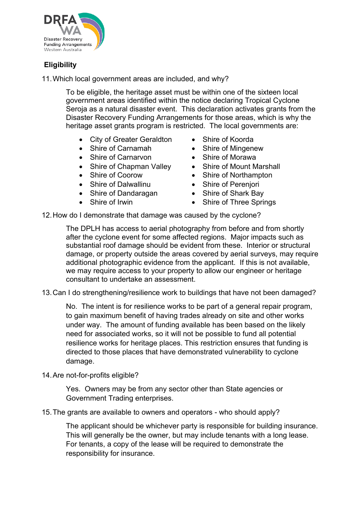

# **Eligibility**

11.Which local government areas are included, and why?

To be eligible, the heritage asset must be within one of the sixteen local government areas identified within the notice declaring Tropical Cyclone Seroja as a natural disaster event. This declaration activates grants from the Disaster Recovery Funding Arrangements for those areas, which is why the heritage asset grants program is restricted. The local governments are:

- City of Greater Geraldton
- Shire of Carnamah
- Shire of Carnarvon
- Shire of Chapman Valley
- Shire of Coorow
- Shire of Dalwallinu
- Shire of Dandaragan
- Shire of Irwin
- Shire of Koorda
- Shire of Mingenew
- Shire of Morawa
- Shire of Mount Marshall
- Shire of Northampton
- Shire of Perenjori
- Shire of Shark Bay
- Shire of Three Springs

12.How do I demonstrate that damage was caused by the cyclone?

The DPLH has access to aerial photography from before and from shortly after the cyclone event for some affected regions. Major impacts such as substantial roof damage should be evident from these. Interior or structural damage, or property outside the areas covered by aerial surveys, may require additional photographic evidence from the applicant. If this is not available, we may require access to your property to allow our engineer or heritage consultant to undertake an assessment.

13.Can I do strengthening/resilience work to buildings that have not been damaged?

No. The intent is for resilience works to be part of a general repair program, to gain maximum benefit of having trades already on site and other works under way. The amount of funding available has been based on the likely need for associated works, so it will not be possible to fund all potential resilience works for heritage places. This restriction ensures that funding is directed to those places that have demonstrated vulnerability to cyclone damage.

14.Are not-for-profits eligible?

Yes. Owners may be from any sector other than State agencies or Government Trading enterprises.

15.The grants are available to owners and operators - who should apply?

The applicant should be whichever party is responsible for building insurance. This will generally be the owner, but may include tenants with a long lease. For tenants, a copy of the lease will be required to demonstrate the responsibility for insurance.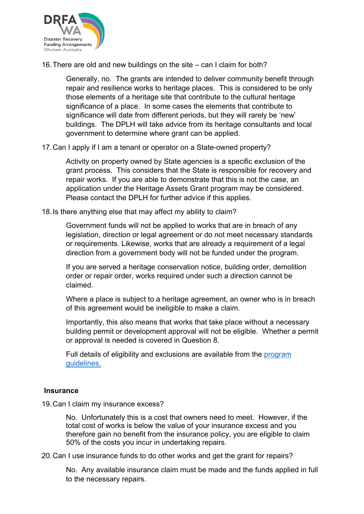

16.There are old and new buildings on the site – can I claim for both?

Generally, no. The grants are intended to deliver community benefit through repair and resilience works to heritage places. This is considered to be only those elements of a heritage site that contribute to the cultural heritage significance of a place. In some cases the elements that contribute to significance will date from different periods, but they will rarely be 'new' buildings. The DPLH will take advice from its heritage consultants and local government to determine where grant can be applied.

17.Can I apply if I am a tenant or operator on a State-owned property?

Activity on property owned by State agencies is a specific exclusion of the grant process. This considers that the State is responsible for recovery and repair works. If you are able to demonstrate that this is not the case, an application under the Heritage Assets Grant program may be considered. Please contact the DPLH for further advice if this applies.

18.Is there anything else that may affect my ability to claim?

Government funds will not be applied to works that are in breach of any legislation, direction or legal agreement or do not meet necessary standards or requirements. Likewise, works that are already a requirement of a legal direction from a government body will not be funded under the program.

If you are served a heritage conservation notice, building order, demolition order or repair order, works required under such a direction cannot be claimed.

Where a place is subject to a heritage agreement, an owner who is in breach of this agreement would be ineligible to make a claim.

Importantly, this also means that works that take place without a necessary building permit or development approval will not be eligible. Whether a permit or approval is needed is covered in Question 8.

Full details of eligibility and exclusions are available from the [program](https://www.dplh.wa.gov.au/DepartmentofPlanningLandsHeritage/media/Documents/Fileshare/Cyclone-Seroja-Heritage-Asset-Grants-Guidelines.pdf)  [guidelines.](https://www.dplh.wa.gov.au/DepartmentofPlanningLandsHeritage/media/Documents/Fileshare/Cyclone-Seroja-Heritage-Asset-Grants-Guidelines.pdf)

## **Insurance**

19.Can I claim my insurance excess?

No. Unfortunately this is a cost that owners need to meet. However, if the total cost of works is below the value of your insurance excess and you therefore gain no benefit from the insurance policy, you are eligible to claim 50% of the costs you incur in undertaking repairs.

20.Can I use insurance funds to do other works and get the grant for repairs?

No. Any available insurance claim must be made and the funds applied in full to the necessary repairs.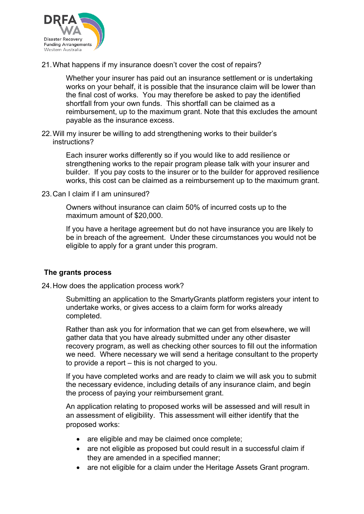

21.What happens if my insurance doesn't cover the cost of repairs?

Whether your insurer has paid out an insurance settlement or is undertaking works on your behalf, it is possible that the insurance claim will be lower than the final cost of works. You may therefore be asked to pay the identified shortfall from your own funds. This shortfall can be claimed as a reimbursement, up to the maximum grant. Note that this excludes the amount payable as the insurance excess.

22.Will my insurer be willing to add strengthening works to their builder's instructions?

> Each insurer works differently so if you would like to add resilience or strengthening works to the repair program please talk with your insurer and builder. If you pay costs to the insurer or to the builder for approved resilience works, this cost can be claimed as a reimbursement up to the maximum grant.

23.Can I claim if I am uninsured?

Owners without insurance can claim 50% of incurred costs up to the maximum amount of \$20,000.

If you have a heritage agreement but do not have insurance you are likely to be in breach of the agreement. Under these circumstances you would not be eligible to apply for a grant under this program.

## **The grants process**

24.How does the application process work?

Submitting an application to the SmartyGrants platform registers your intent to undertake works, or gives access to a claim form for works already completed.

Rather than ask you for information that we can get from elsewhere, we will gather data that you have already submitted under any other disaster recovery program, as well as checking other sources to fill out the information we need. Where necessary we will send a heritage consultant to the property to provide a report – this is not charged to you.

If you have completed works and are ready to claim we will ask you to submit the necessary evidence, including details of any insurance claim, and begin the process of paying your reimbursement grant.

An application relating to proposed works will be assessed and will result in an assessment of eligibility. This assessment will either identify that the proposed works:

- are eligible and may be claimed once complete;
- are not eligible as proposed but could result in a successful claim if they are amended in a specified manner;
- are not eligible for a claim under the Heritage Assets Grant program.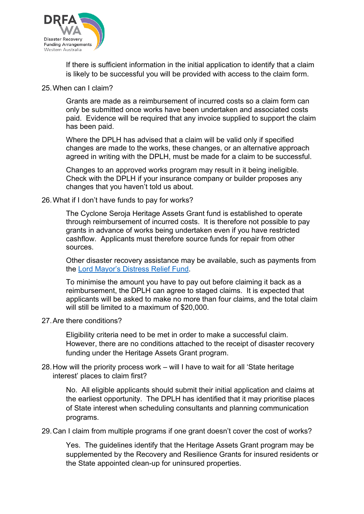

If there is sufficient information in the initial application to identify that a claim is likely to be successful you will be provided with access to the claim form.

#### 25.When can I claim?

Grants are made as a reimbursement of incurred costs so a claim form can only be submitted once works have been undertaken and associated costs paid. Evidence will be required that any invoice supplied to support the claim has been paid.

Where the DPLH has advised that a claim will be valid only if specified changes are made to the works, these changes, or an alternative approach agreed in writing with the DPLH, must be made for a claim to be successful.

Changes to an approved works program may result in it being ineligible. Check with the DPLH if your insurance company or builder proposes any changes that you haven't told us about.

#### 26.What if I don't have funds to pay for works?

The Cyclone Seroja Heritage Assets Grant fund is established to operate through reimbursement of incurred costs. It is therefore not possible to pay grants in advance of works being undertaken even if you have restricted cashflow. Applicants must therefore source funds for repair from other sources.

Other disaster recovery assistance may be available, such as payments from the [Lord Mayor's Distress Relief Fund.](https://appealswa.org.au/apply-for-assistance/)

To minimise the amount you have to pay out before claiming it back as a reimbursement, the DPLH can agree to staged claims. It is expected that applicants will be asked to make no more than four claims, and the total claim will still be limited to a maximum of \$20,000.

#### 27.Are there conditions?

Eligibility criteria need to be met in order to make a successful claim. However, there are no conditions attached to the receipt of disaster recovery funding under the Heritage Assets Grant program.

#### 28.How will the priority process work – will I have to wait for all 'State heritage interest' places to claim first?

No. All eligible applicants should submit their initial application and claims at the earliest opportunity. The DPLH has identified that it may prioritise places of State interest when scheduling consultants and planning communication programs.

29.Can I claim from multiple programs if one grant doesn't cover the cost of works?

Yes. The guidelines identify that the Heritage Assets Grant program may be supplemented by the Recovery and Resilience Grants for insured residents or the State appointed clean-up for uninsured properties.